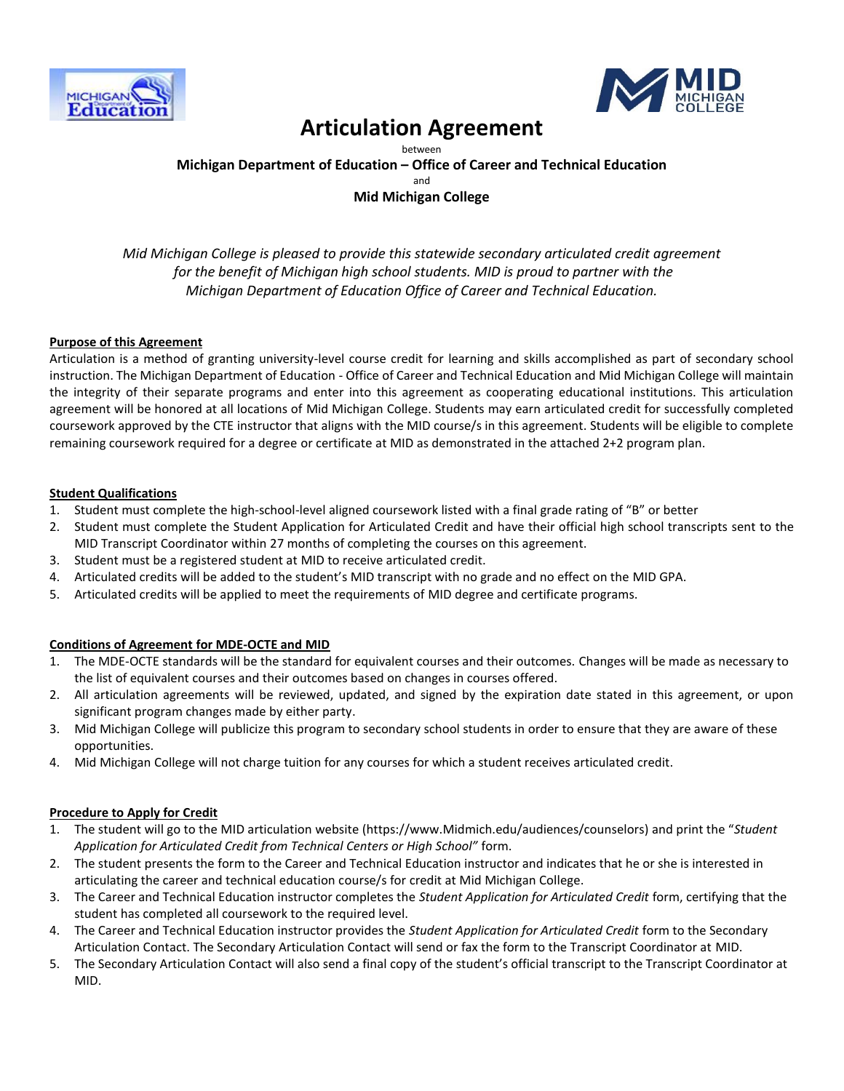



## **Articulation Agreement**

between **Michigan Department of Education – Office of Career and Technical Education** and **Mid Michigan College**

*Mid Michigan College is pleased to provide this statewide secondary articulated credit agreement for the benefit of Michigan high school students. MID is proud to partner with the Michigan Department of Education Office of Career and Technical Education.*

#### **Purpose of this Agreement**

Articulation is a method of granting university-level course credit for learning and skills accomplished as part of secondary school instruction. The Michigan Department of Education - Office of Career and Technical Education and Mid Michigan College will maintain the integrity of their separate programs and enter into this agreement as cooperating educational institutions. This articulation agreement will be honored at all locations of Mid Michigan College. Students may earn articulated credit for successfully completed coursework approved by the CTE instructor that aligns with the MID course/s in this agreement. Students will be eligible to complete remaining coursework required for a degree or certificate at MID as demonstrated in the attached 2+2 program plan.

#### **Student Qualifications**

- 1. Student must complete the high-school-level aligned coursework listed with a final grade rating of "B" or better
- 2. Student must complete the Student Application for Articulated Credit and have their official high school transcripts sent to the MID Transcript Coordinator within 27 months of completing the courses on this agreement.
- 3. Student must be a registered student at MID to receive articulated credit.
- 4. Articulated credits will be added to the student's MID transcript with no grade and no effect on the MID GPA.
- 5. Articulated credits will be applied to meet the requirements of MID degree and certificate programs.

#### **Conditions of Agreement for MDE-OCTE and MID**

- 1. The MDE-OCTE standards will be the standard for equivalent courses and their outcomes. Changes will be made as necessary to the list of equivalent courses and their outcomes based on changes in courses offered.
- 2. All articulation agreements will be reviewed, updated, and signed by the expiration date stated in this agreement, or upon significant program changes made by either party.
- 3. Mid Michigan College will publicize this program to secondary school students in order to ensure that they are aware of these opportunities.
- 4. Mid Michigan College will not charge tuition for any courses for which a student receives articulated credit.

#### **Procedure to Apply for Credit**

- 1. The student will go to the MID articulation website (https://www.Midmich.edu/audiences/counselors) and print the "*Student Application for Articulated Credit from Technical Centers or High School"* form.
- 2. The student presents the form to the Career and Technical Education instructor and indicates that he or she is interested in articulating the career and technical education course/s for credit at Mid Michigan College.
- 3. The Career and Technical Education instructor completes the *Student Application for Articulated Credit* form, certifying that the student has completed all coursework to the required level.
- 4. The Career and Technical Education instructor provides the *Student Application for Articulated Credit* form to the Secondary Articulation Contact. The Secondary Articulation Contact will send or fax the form to the Transcript Coordinator at MID.
- 5. The Secondary Articulation Contact will also send a final copy of the student's official transcript to the Transcript Coordinator at MID.